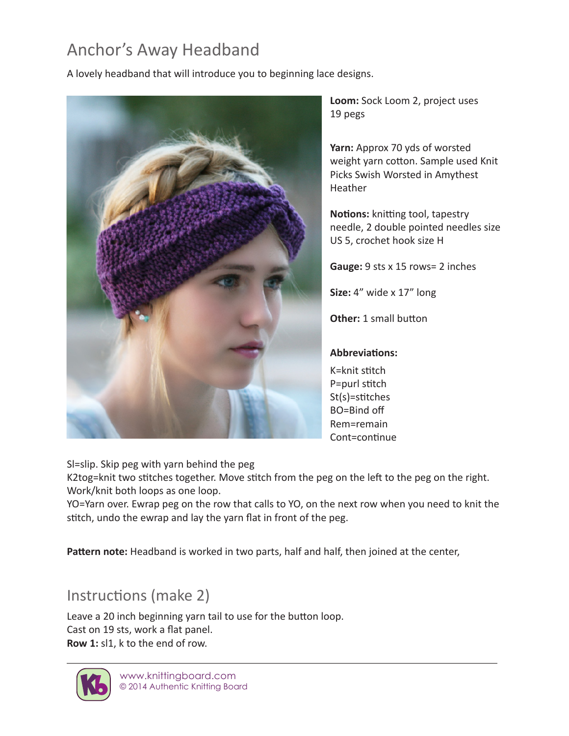# Anchor's Away Headband

A lovely headband that will introduce you to beginning lace designs.



**Loom:** Sock Loom 2, project uses 19 pegs

**Yarn:** Approx 70 yds of worsted weight yarn cotton. Sample used Knit Picks Swish Worsted in Amythest Heather

**Notions:** knitting tool, tapestry needle, 2 double pointed needles size US 5, crochet hook size H

**Gauge:** 9 sts x 15 rows= 2 inches

**Size:** 4" wide x 17" long

**Other:** 1 small button

### **Abbreviations:**

K=knit stitch P=purl stitch St(s)=stitches BO=Bind off Rem=remain Cont=continue

Sl=slip. Skip peg with yarn behind the peg

K2tog=knit two stitches together. Move stitch from the peg on the left to the peg on the right. Work/knit both loops as one loop.

YO=Yarn over. Ewrap peg on the row that calls to YO, on the next row when you need to knit the stitch, undo the ewrap and lay the yarn flat in front of the peg.

**Pattern note:** Headband is worked in two parts, half and half, then joined at the center,

## Instructions (make 2)

Leave a 20 inch beginning yarn tail to use for the button loop. Cast on 19 sts, work a flat panel. **Row 1:** sl1, k to the end of row.

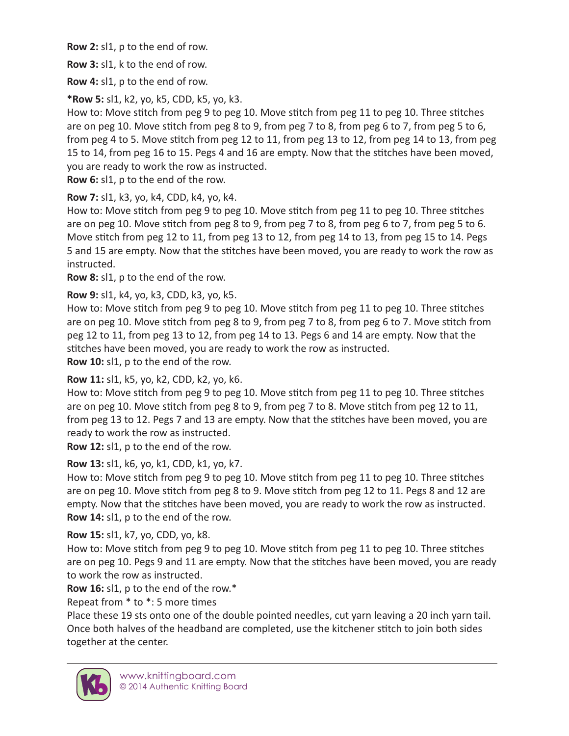**Row 2:** sl1, p to the end of row.

**Row 3:** sl1, k to the end of row.

**Row 4:** sl1, p to the end of row.

**\*Row 5:** sl1, k2, yo, k5, CDD, k5, yo, k3.

How to: Move stitch from peg 9 to peg 10. Move stitch from peg 11 to peg 10. Three stitches are on peg 10. Move stitch from peg 8 to 9, from peg 7 to 8, from peg 6 to 7, from peg 5 to 6, from peg 4 to 5. Move stitch from peg 12 to 11, from peg 13 to 12, from peg 14 to 13, from peg 15 to 14, from peg 16 to 15. Pegs 4 and 16 are empty. Now that the stitches have been moved, you are ready to work the row as instructed.

**Row 6:** sl1, p to the end of the row.

### **Row 7:** sl1, k3, yo, k4, CDD, k4, yo, k4.

How to: Move stitch from peg 9 to peg 10. Move stitch from peg 11 to peg 10. Three stitches are on peg 10. Move stitch from peg 8 to 9, from peg 7 to 8, from peg 6 to 7, from peg 5 to 6. Move stitch from peg 12 to 11, from peg 13 to 12, from peg 14 to 13, from peg 15 to 14. Pegs 5 and 15 are empty. Now that the stitches have been moved, you are ready to work the row as instructed.

**Row 8:** sl1, p to the end of the row.

**Row 9:** sl1, k4, yo, k3, CDD, k3, yo, k5.

How to: Move stitch from peg 9 to peg 10. Move stitch from peg 11 to peg 10. Three stitches are on peg 10. Move stitch from peg 8 to 9, from peg 7 to 8, from peg 6 to 7. Move stitch from peg 12 to 11, from peg 13 to 12, from peg 14 to 13. Pegs 6 and 14 are empty. Now that the stitches have been moved, you are ready to work the row as instructed. **Row 10:** sl1, p to the end of the row.

### **Row 11:** sl1, k5, yo, k2, CDD, k2, yo, k6.

How to: Move stitch from peg 9 to peg 10. Move stitch from peg 11 to peg 10. Three stitches are on peg 10. Move stitch from peg 8 to 9, from peg 7 to 8. Move stitch from peg 12 to 11, from peg 13 to 12. Pegs 7 and 13 are empty. Now that the stitches have been moved, you are ready to work the row as instructed.

**Row 12:** sl1, p to the end of the row.

### **Row 13:** sl1, k6, yo, k1, CDD, k1, yo, k7.

How to: Move stitch from peg 9 to peg 10. Move stitch from peg 11 to peg 10. Three stitches are on peg 10. Move stitch from peg 8 to 9. Move stitch from peg 12 to 11. Pegs 8 and 12 are empty. Now that the stitches have been moved, you are ready to work the row as instructed. **Row 14:** sl1, p to the end of the row.

### **Row 15:** sl1, k7, yo, CDD, yo, k8.

How to: Move stitch from peg 9 to peg 10. Move stitch from peg 11 to peg 10. Three stitches are on peg 10. Pegs 9 and 11 are empty. Now that the stitches have been moved, you are ready to work the row as instructed.

**Row 16:** sl1, p to the end of the row.\*

Repeat from \* to \*: 5 more times

Place these 19 sts onto one of the double pointed needles, cut yarn leaving a 20 inch yarn tail. Once both halves of the headband are completed, use the kitchener stitch to join both sides together at the center.